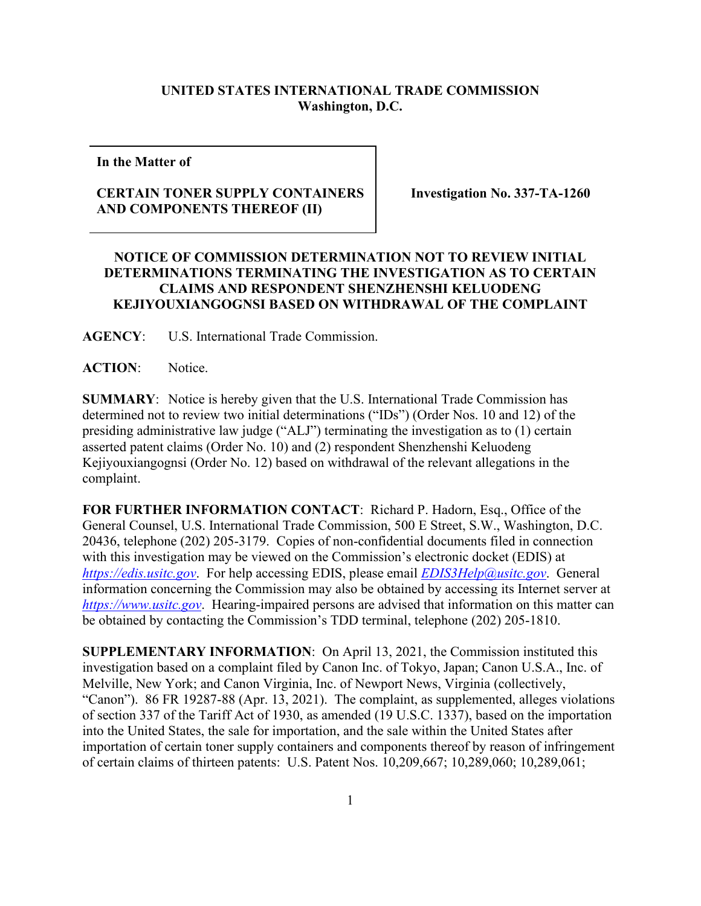## **UNITED STATES INTERNATIONAL TRADE COMMISSION Washington, D.C.**

**In the Matter of**

## **CERTAIN TONER SUPPLY CONTAINERS AND COMPONENTS THEREOF (II)**

**Investigation No. 337-TA-1260**

## **NOTICE OF COMMISSION DETERMINATION NOT TO REVIEW INITIAL DETERMINATIONS TERMINATING THE INVESTIGATION AS TO CERTAIN CLAIMS AND RESPONDENT SHENZHENSHI KELUODENG KEJIYOUXIANGOGNSI BASED ON WITHDRAWAL OF THE COMPLAINT**

**AGENCY**: U.S. International Trade Commission.

ACTION: Notice.

**SUMMARY**: Notice is hereby given that the U.S. International Trade Commission has determined not to review two initial determinations ("IDs") (Order Nos. 10 and 12) of the presiding administrative law judge ("ALJ") terminating the investigation as to (1) certain asserted patent claims (Order No. 10) and (2) respondent Shenzhenshi Keluodeng Kejiyouxiangognsi (Order No. 12) based on withdrawal of the relevant allegations in the complaint.

**FOR FURTHER INFORMATION CONTACT**: Richard P. Hadorn, Esq., Office of the General Counsel, U.S. International Trade Commission, 500 E Street, S.W., Washington, D.C. 20436, telephone (202) 205-3179. Copies of non-confidential documents filed in connection with this investigation may be viewed on the Commission's electronic docket (EDIS) at *[https://edis.usitc.gov](https://edis.usitc.gov/)*. For help accessing EDIS, please email *[EDIS3Help@usitc.gov](mailto:EDIS3Help@usitc.gov)*. General information concerning the Commission may also be obtained by accessing its Internet server at *[https://www.usitc.gov](https://www.usitc.gov/)*. Hearing-impaired persons are advised that information on this matter can be obtained by contacting the Commission's TDD terminal, telephone (202) 205-1810.

**SUPPLEMENTARY INFORMATION**: On April 13, 2021, the Commission instituted this investigation based on a complaint filed by Canon Inc. of Tokyo, Japan; Canon U.S.A., Inc. of Melville, New York; and Canon Virginia, Inc. of Newport News, Virginia (collectively, "Canon"). 86 FR 19287-88 (Apr. 13, 2021). The complaint, as supplemented, alleges violations of section 337 of the Tariff Act of 1930, as amended (19 U.S.C. 1337), based on the importation into the United States, the sale for importation, and the sale within the United States after importation of certain toner supply containers and components thereof by reason of infringement of certain claims of thirteen patents: U.S. Patent Nos. 10,209,667; 10,289,060; 10,289,061;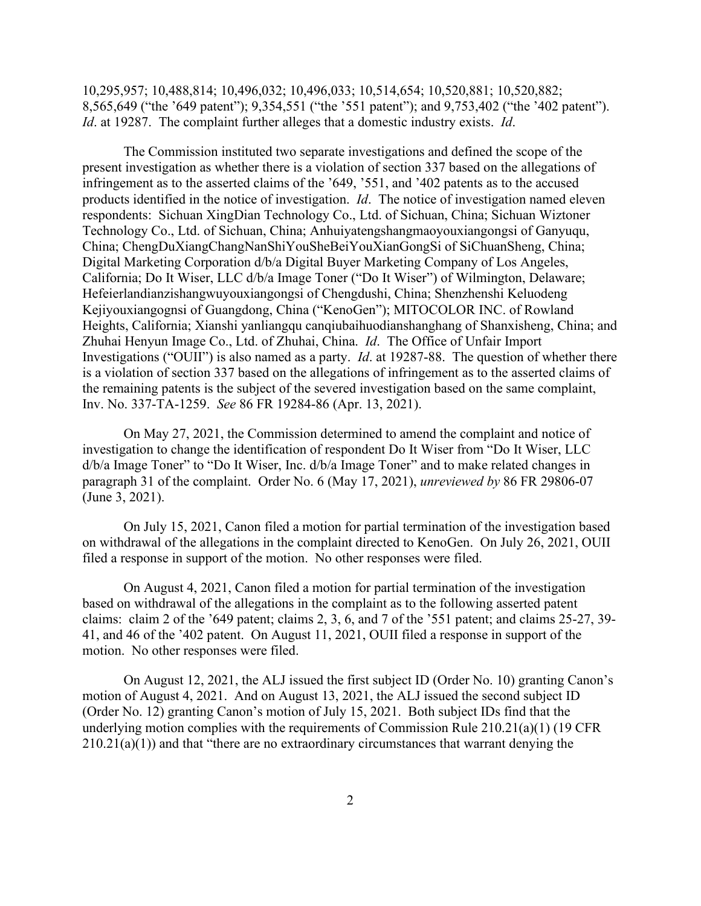10,295,957; 10,488,814; 10,496,032; 10,496,033; 10,514,654; 10,520,881; 10,520,882; 8,565,649 ("the '649 patent"); 9,354,551 ("the '551 patent"); and 9,753,402 ("the '402 patent"). *Id*. at 19287. The complaint further alleges that a domestic industry exists. *Id*.

The Commission instituted two separate investigations and defined the scope of the present investigation as whether there is a violation of section 337 based on the allegations of infringement as to the asserted claims of the '649, '551, and '402 patents as to the accused products identified in the notice of investigation. *Id*. The notice of investigation named eleven respondents: Sichuan XingDian Technology Co., Ltd. of Sichuan, China; Sichuan Wiztoner Technology Co., Ltd. of Sichuan, China; Anhuiyatengshangmaoyouxiangongsi of Ganyuqu, China; ChengDuXiangChangNanShiYouSheBeiYouXianGongSi of SiChuanSheng, China; Digital Marketing Corporation d/b/a Digital Buyer Marketing Company of Los Angeles, California; Do It Wiser, LLC d/b/a Image Toner ("Do It Wiser") of Wilmington, Delaware; Hefeierlandianzishangwuyouxiangongsi of Chengdushi, China; Shenzhenshi Keluodeng Kejiyouxiangognsi of Guangdong, China ("KenoGen"); MITOCOLOR INC. of Rowland Heights, California; Xianshi yanliangqu canqiubaihuodianshanghang of Shanxisheng, China; and Zhuhai Henyun Image Co., Ltd. of Zhuhai, China. *Id*. The Office of Unfair Import Investigations ("OUII") is also named as a party. *Id*. at 19287-88. The question of whether there is a violation of section 337 based on the allegations of infringement as to the asserted claims of the remaining patents is the subject of the severed investigation based on the same complaint, Inv. No. 337-TA-1259. *See* 86 FR 19284-86 (Apr. 13, 2021).

On May 27, 2021, the Commission determined to amend the complaint and notice of investigation to change the identification of respondent Do It Wiser from "Do It Wiser, LLC d/b/a Image Toner" to "Do It Wiser, Inc. d/b/a Image Toner" and to make related changes in paragraph 31 of the complaint. Order No. 6 (May 17, 2021), *unreviewed by* 86 FR 29806-07 (June 3, 2021).

On July 15, 2021, Canon filed a motion for partial termination of the investigation based on withdrawal of the allegations in the complaint directed to KenoGen. On July 26, 2021, OUII filed a response in support of the motion. No other responses were filed.

On August 4, 2021, Canon filed a motion for partial termination of the investigation based on withdrawal of the allegations in the complaint as to the following asserted patent claims: claim 2 of the '649 patent; claims 2, 3, 6, and 7 of the '551 patent; and claims 25-27, 39- 41, and 46 of the '402 patent. On August 11, 2021, OUII filed a response in support of the motion. No other responses were filed.

On August 12, 2021, the ALJ issued the first subject ID (Order No. 10) granting Canon's motion of August 4, 2021. And on August 13, 2021, the ALJ issued the second subject ID (Order No. 12) granting Canon's motion of July 15, 2021. Both subject IDs find that the underlying motion complies with the requirements of Commission Rule 210.21(a)(1) (19 CFR  $210.21(a)(1)$ ) and that "there are no extraordinary circumstances that warrant denying the